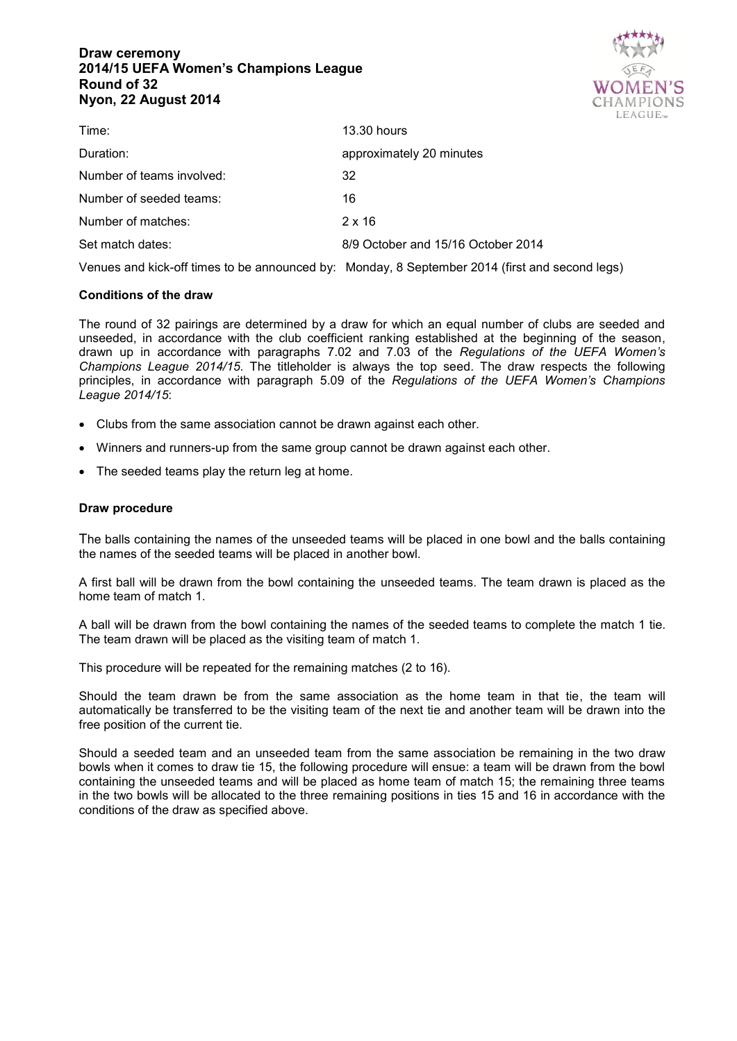# **Draw ceremony 2014/15 UEFA Women's Champions League Round of 32 Nyon, 22 August 2014**



| 13.30 hours                        |
|------------------------------------|
| approximately 20 minutes           |
| 32                                 |
| 16                                 |
| $2 \times 16$                      |
| 8/9 October and 15/16 October 2014 |
|                                    |

Venues and kick-off times to be announced by: Monday, 8 September 2014 (first and second legs)

## **Conditions of the draw**

The round of 32 pairings are determined by a draw for which an equal number of clubs are seeded and unseeded, in accordance with the club coefficient ranking established at the beginning of the season, drawn up in accordance with paragraphs 7.02 and 7.03 of the *Regulations of the UEFA Women's Champions League 2014/15*. The titleholder is always the top seed. The draw respects the following principles, in accordance with paragraph 5.09 of the *Regulations of the UEFA Women's Champions League 2014/15*:

- Clubs from the same association cannot be drawn against each other.
- Winners and runners-up from the same group cannot be drawn against each other.
- The seeded teams play the return leg at home.

#### **Draw procedure**

The balls containing the names of the unseeded teams will be placed in one bowl and the balls containing the names of the seeded teams will be placed in another bowl.

A first ball will be drawn from the bowl containing the unseeded teams. The team drawn is placed as the home team of match 1.

A ball will be drawn from the bowl containing the names of the seeded teams to complete the match 1 tie. The team drawn will be placed as the visiting team of match 1.

This procedure will be repeated for the remaining matches (2 to 16).

Should the team drawn be from the same association as the home team in that tie, the team will automatically be transferred to be the visiting team of the next tie and another team will be drawn into the free position of the current tie.

Should a seeded team and an unseeded team from the same association be remaining in the two draw bowls when it comes to draw tie 15, the following procedure will ensue: a team will be drawn from the bowl containing the unseeded teams and will be placed as home team of match 15; the remaining three teams in the two bowls will be allocated to the three remaining positions in ties 15 and 16 in accordance with the conditions of the draw as specified above.